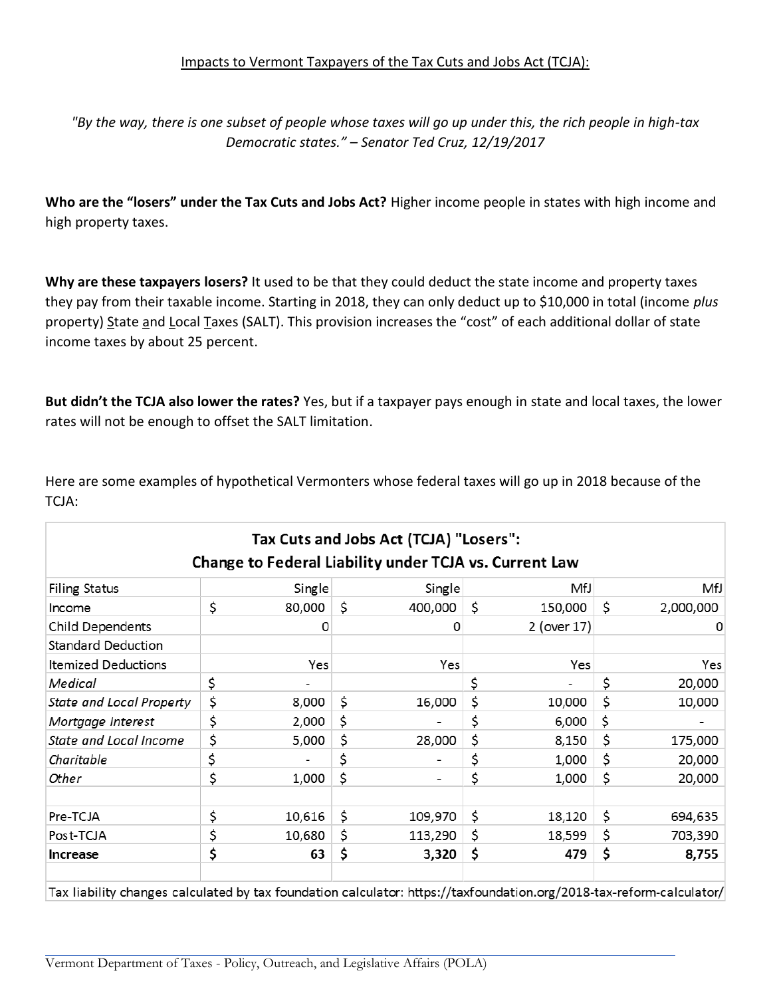*"By the way, there is one subset of people whose taxes will go up under this, the rich people in high-tax Democratic states." – Senator Ted Cruz, 12/19/2017*

**Who are the "losers" under the Tax Cuts and Jobs Act?** Higher income people in states with high income and high property taxes.

**Why are these taxpayers losers?** It used to be that they could deduct the state income and property taxes they pay from their taxable income. Starting in 2018, they can only deduct up to \$10,000 in total (income *plus*  property) State and Local Taxes (SALT). This provision increases the "cost" of each additional dollar of state income taxes by about 25 percent.

**But didn't the TCJA also lower the rates?** Yes, but if a taxpayer pays enough in state and local taxes, the lower rates will not be enough to offset the SALT limitation.

Here are some examples of hypothetical Vermonters whose federal taxes will go up in 2018 because of the TCJA:

| <b>Filing Status</b>       | Single       | Single        |    | MfJ         | MfJ             |
|----------------------------|--------------|---------------|----|-------------|-----------------|
| Income                     | \$<br>80,000 | \$<br>400,000 | Ś. | 150,000     | \$<br>2,000,000 |
| <b>Child Dependents</b>    | 0            | 0             |    | 2 (over 17) |                 |
| <b>Standard Deduction</b>  |              |               |    |             |                 |
| <b>Itemized Deductions</b> | Yes          | Yes           |    | Yes         | Yes             |
| Medical                    | \$           |               | \$ |             | \$<br>20,000    |
| State and Local Property   | \$<br>8,000  | \$<br>16,000  | \$ | 10,000      | \$<br>10,000    |
| Mortgage Interest          | \$<br>2,000  | \$            | \$ | 6,000       | \$              |
| State and Local Income     | \$<br>5,000  | \$<br>28,000  | \$ | 8,150       | \$<br>175,000   |
| Charitable                 | \$           | \$            | \$ | 1,000       | \$<br>20,000    |
| Other                      | \$<br>1,000  | \$            | \$ | 1,000       | \$<br>20,000    |
|                            |              |               |    |             |                 |
| Pre-TCJA                   | \$<br>10,616 | \$<br>109,970 | \$ | 18,120      | \$<br>694,635   |
| Post-TCJA                  | \$<br>10,680 | \$<br>113,290 | \$ | 18,599      | \$<br>703,390   |
| Increase                   | \$<br>63     | \$<br>3,320   | \$ | 479         | \$<br>8,755     |